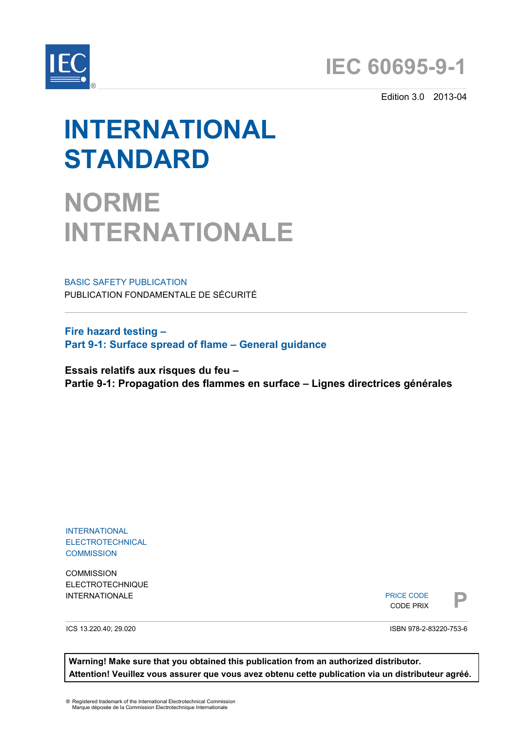

Edition 3.0 2013-04

# **INTERNATIONAL STANDARD**

# **NORME INTERNATIONALE**

## BASIC SAFETY PUBLICATION

PUBLICATION FONDAMENTALE DE SÉCURITÉ

**Fire hazard testing – Part 9-1: Surface spread of flame – General guidance** 

**Essais relatifs aux risques du feu – Partie 9-1: Propagation des flammes en surface – Lignes directrices générales**

INTERNATIONAL **ELECTROTECHNICAL COMMISSION** 

**COMMISSION** ELECTROTECHNIQUE

INTERNATIONALE PRICE CODE PRIX PRICE CODE CODE PRIX



ICS 13.220.40; 29.020

ISBN 978-2-83220-753-6

**Warning! Make sure that you obtained this publication from an authorized distributor. Attention! Veuillez vous assurer que vous avez obtenu cette publication via un distributeur agréé.**

® Registered trademark of the International Electrotechnical Commission Marque déposée de la Commission Electrotechnique Internationale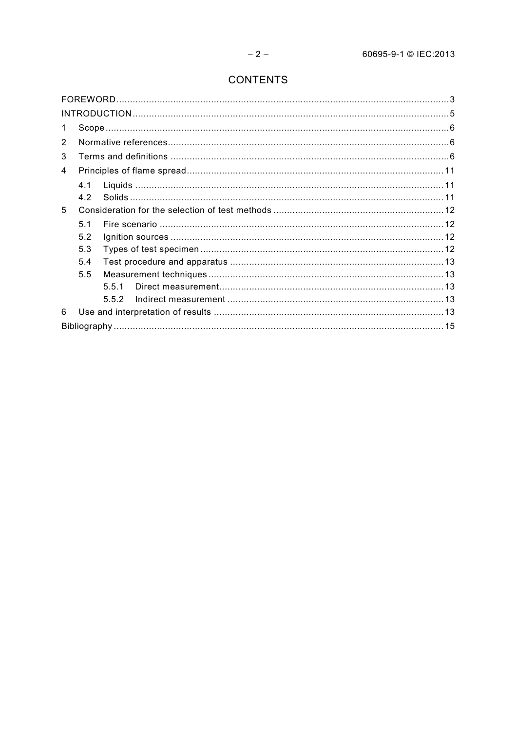| 1 |     |       |  |  |  |  |  |  |
|---|-----|-------|--|--|--|--|--|--|
| 2 |     |       |  |  |  |  |  |  |
| 3 |     |       |  |  |  |  |  |  |
| 4 |     |       |  |  |  |  |  |  |
|   | 4.1 |       |  |  |  |  |  |  |
|   | 4.2 |       |  |  |  |  |  |  |
| 5 |     |       |  |  |  |  |  |  |
|   | 5.1 |       |  |  |  |  |  |  |
|   | 5.2 |       |  |  |  |  |  |  |
|   | 5.3 |       |  |  |  |  |  |  |
|   | 5.4 |       |  |  |  |  |  |  |
|   | 5.5 |       |  |  |  |  |  |  |
|   |     | 551   |  |  |  |  |  |  |
|   |     | 5.5.2 |  |  |  |  |  |  |
| 6 |     |       |  |  |  |  |  |  |
|   |     |       |  |  |  |  |  |  |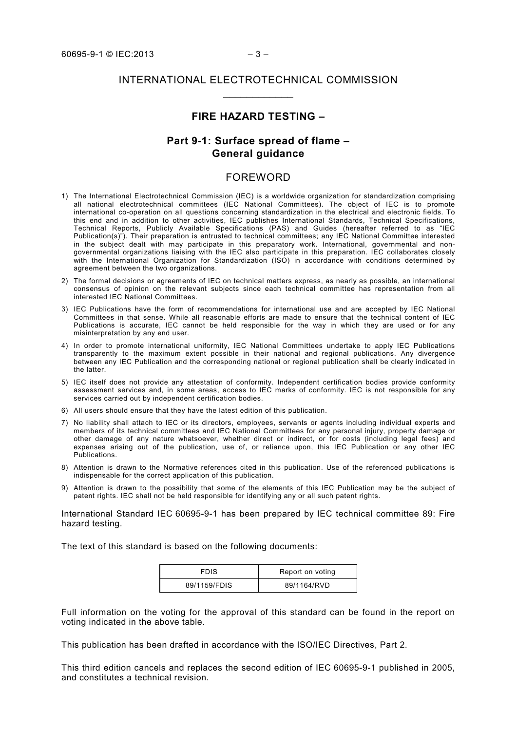# INTERNATIONAL ELECTROTECHNICAL COMMISSION  $\overline{\phantom{a}}$

## **FIRE HAZARD TESTING –**

## **Part 9-1: Surface spread of flame – General guidance**

## FOREWORD

- 1) The International Electrotechnical Commission (IEC) is a worldwide organization for standardization comprising all national electrotechnical committees (IEC National Committees). The object of IEC is to promote international co-operation on all questions concerning standardization in the electrical and electronic fields. To this end and in addition to other activities, IEC publishes International Standards, Technical Specifications, Technical Reports, Publicly Available Specifications (PAS) and Guides (hereafter referred to as "IEC Publication(s)"). Their preparation is entrusted to technical committees; any IEC National Committee interested in the subject dealt with may participate in this preparatory work. International, governmental and nongovernmental organizations liaising with the IEC also participate in this preparation. IEC collaborates closely with the International Organization for Standardization (ISO) in accordance with conditions determined by agreement between the two organizations.
- 2) The formal decisions or agreements of IEC on technical matters express, as nearly as possible, an international consensus of opinion on the relevant subjects since each technical committee has representation from all interested IEC National Committees.
- 3) IEC Publications have the form of recommendations for international use and are accepted by IEC National Committees in that sense. While all reasonable efforts are made to ensure that the technical content of IEC Publications is accurate, IEC cannot be held responsible for the way in which they are used or for any misinterpretation by any end user.
- 4) In order to promote international uniformity, IEC National Committees undertake to apply IEC Publications transparently to the maximum extent possible in their national and regional publications. Any divergence between any IEC Publication and the corresponding national or regional publication shall be clearly indicated in the latter.
- 5) IEC itself does not provide any attestation of conformity. Independent certification bodies provide conformity assessment services and, in some areas, access to IEC marks of conformity. IEC is not responsible for any services carried out by independent certification bodies.
- 6) All users should ensure that they have the latest edition of this publication.
- 7) No liability shall attach to IEC or its directors, employees, servants or agents including individual experts and members of its technical committees and IEC National Committees for any personal injury, property damage or other damage of any nature whatsoever, whether direct or indirect, or for costs (including legal fees) and expenses arising out of the publication, use of, or reliance upon, this IEC Publication or any other IEC Publications.
- 8) Attention is drawn to the Normative references cited in this publication. Use of the referenced publications is indispensable for the correct application of this publication.
- 9) Attention is drawn to the possibility that some of the elements of this IEC Publication may be the subject of patent rights. IEC shall not be held responsible for identifying any or all such patent rights.

International Standard IEC 60695-9-1 has been prepared by IEC technical committee 89: Fire hazard testing.

The text of this standard is based on the following documents:

| <b>FDIS</b>  | Report on voting |
|--------------|------------------|
| 89/1159/FDIS | 89/1164/RVD      |

Full information on the voting for the approval of this standard can be found in the report on voting indicated in the above table.

This publication has been drafted in accordance with the ISO/IEC Directives, Part 2.

This third edition cancels and replaces the second edition of IEC 60695-9-1 published in 2005, and constitutes a technical revision.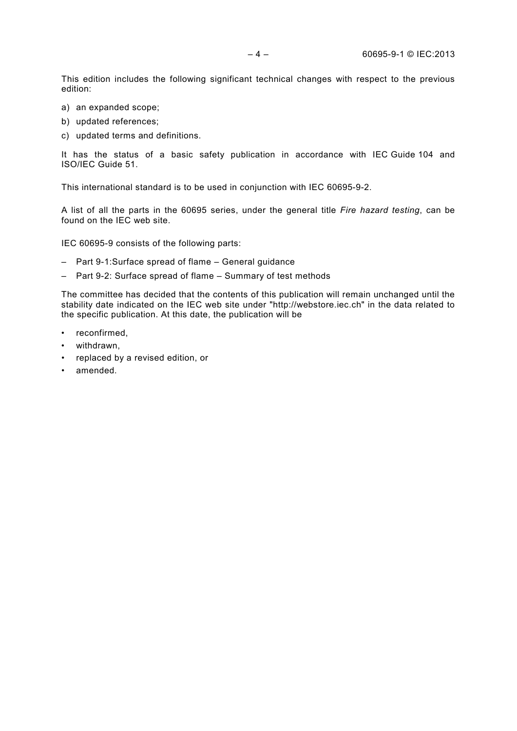This edition includes the following significant technical changes with respect to the previous edition:

- a) an expanded scope;
- b) updated references;
- c) updated terms and definitions.

It has the status of a basic safety publication in accordance with IEC Guide 104 and ISO/IEC Guide 51.

This international standard is to be used in conjunction with IEC 60695-9-2.

A list of all the parts in the 60695 series, under the general title *Fire hazard testing*, can be found on the IEC web site.

IEC 60695-9 consists of the following parts:

- Part 9-1:Surface spread of flame General guidance
- Part 9-2: Surface spread of flame Summary of test methods

The committee has decided that the contents of this publication will remain unchanged until the stability date indicated on the IEC web site under "http://webstore.iec.ch" in the data related to the specific publication. At this date, the publication will be

- reconfirmed,
- withdrawn,
- replaced by a revised edition, or
- amended.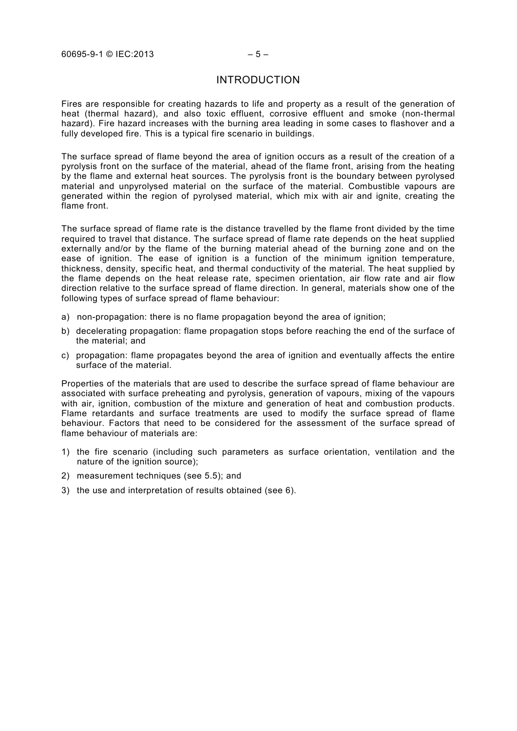## INTRODUCTION

Fires are responsible for creating hazards to life and property as a result of the generation of heat (thermal hazard), and also toxic effluent, corrosive effluent and smoke (non-thermal hazard). Fire hazard increases with the burning area leading in some cases to flashover and a fully developed fire. This is a typical fire scenario in buildings.

The surface spread of flame beyond the area of ignition occurs as a result of the creation of a pyrolysis front on the surface of the material, ahead of the flame front, arising from the heating by the flame and external heat sources. The pyrolysis front is the boundary between pyrolysed material and unpyrolysed material on the surface of the material. Combustible vapours are generated within the region of pyrolysed material, which mix with air and ignite, creating the flame front.

The surface spread of flame rate is the distance travelled by the flame front divided by the time required to travel that distance. The surface spread of flame rate depends on the heat supplied externally and/or by the flame of the burning material ahead of the burning zone and on the ease of ignition. The ease of ignition is a function of the minimum ignition temperature, thickness, density, specific heat, and thermal conductivity of the material. The heat supplied by the flame depends on the heat release rate, specimen orientation, air flow rate and air flow direction relative to the surface spread of flame direction. In general, materials show one of the following types of surface spread of flame behaviour:

- a) non-propagation: there is no flame propagation beyond the area of ignition;
- b) decelerating propagation: flame propagation stops before reaching the end of the surface of the material; and
- c) propagation: flame propagates beyond the area of ignition and eventually affects the entire surface of the material.

Properties of the materials that are used to describe the surface spread of flame behaviour are associated with surface preheating and pyrolysis, generation of vapours, mixing of the vapours with air, ignition, combustion of the mixture and generation of heat and combustion products. Flame retardants and surface treatments are used to modify the surface spread of flame behaviour. Factors that need to be considered for the assessment of the surface spread of flame behaviour of materials are:

- 1) the fire scenario (including such parameters as surface orientation, ventilation and the nature of the ignition source);
- 2) measurement techniques (see 5.5); and
- 3) the use and interpretation of results obtained (see 6).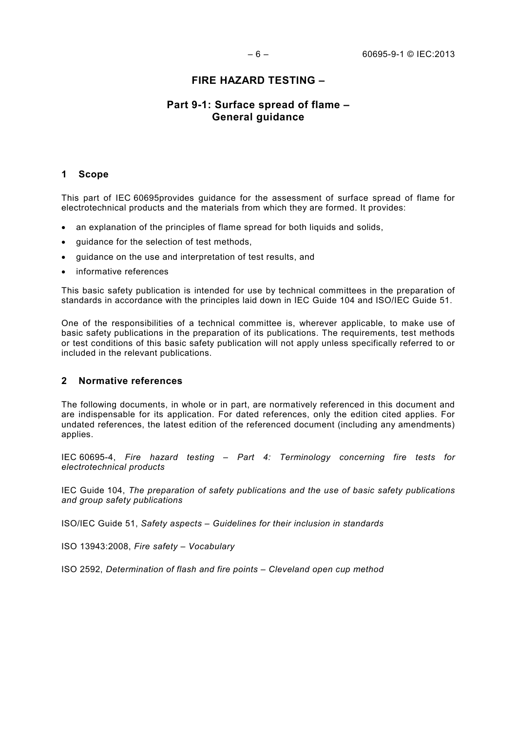## **FIRE HAZARD TESTING –**

## **Part 9-1: Surface spread of flame – General guidance**

### **1 Scope**

This part of IEC 60695provides guidance for the assessment of surface spread of flame for electrotechnical products and the materials from which they are formed. It provides:

- an explanation of the principles of flame spread for both liquids and solids,
- quidance for the selection of test methods,
- guidance on the use and interpretation of test results, and
- informative references

This basic safety publication is intended for use by technical committees in the preparation of standards in accordance with the principles laid down in IEC Guide 104 and ISO/IEC Guide 51.

One of the responsibilities of a technical committee is, wherever applicable, to make use of basic safety publications in the preparation of its publications. The requirements, test methods or test conditions of this basic safety publication will not apply unless specifically referred to or included in the relevant publications.

#### **2 Normative references**

The following documents, in whole or in part, are normatively referenced in this document and are indispensable for its application. For dated references, only the edition cited applies. For undated references, the latest edition of the referenced document (including any amendments) applies.

IEC 60695-4, *Fire hazard testing – Part 4: Terminology concerning fire tests for electrotechnical products*

IEC Guide 104, *The preparation of safety publications and the use of basic safety publications and group safety publications*

ISO/IEC Guide 51, *Safety aspects – Guidelines for their inclusion in standards*

ISO 13943:2008, *Fire safety – Vocabulary*

ISO 2592, *Determination of flash and fire points – Cleveland open cup method*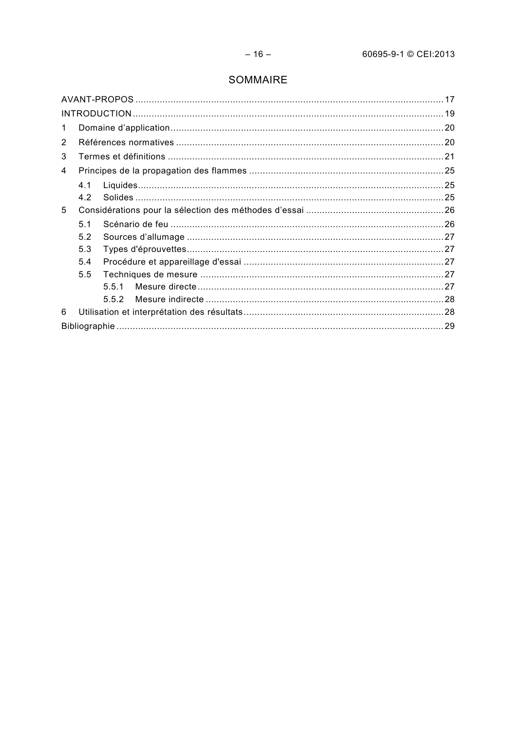# SOMMAIRE

| 1 |     |       |  |  |  |  |  |
|---|-----|-------|--|--|--|--|--|
| 2 |     |       |  |  |  |  |  |
| 3 |     |       |  |  |  |  |  |
| 4 |     |       |  |  |  |  |  |
|   | 4.1 |       |  |  |  |  |  |
|   | 4.2 |       |  |  |  |  |  |
| 5 |     |       |  |  |  |  |  |
|   | 5.1 |       |  |  |  |  |  |
|   | 5.2 |       |  |  |  |  |  |
|   | 5.3 |       |  |  |  |  |  |
|   | 5.4 |       |  |  |  |  |  |
|   | 5.5 |       |  |  |  |  |  |
|   |     | 5.5.1 |  |  |  |  |  |
|   |     | 5.5.2 |  |  |  |  |  |
| 6 |     |       |  |  |  |  |  |
|   |     |       |  |  |  |  |  |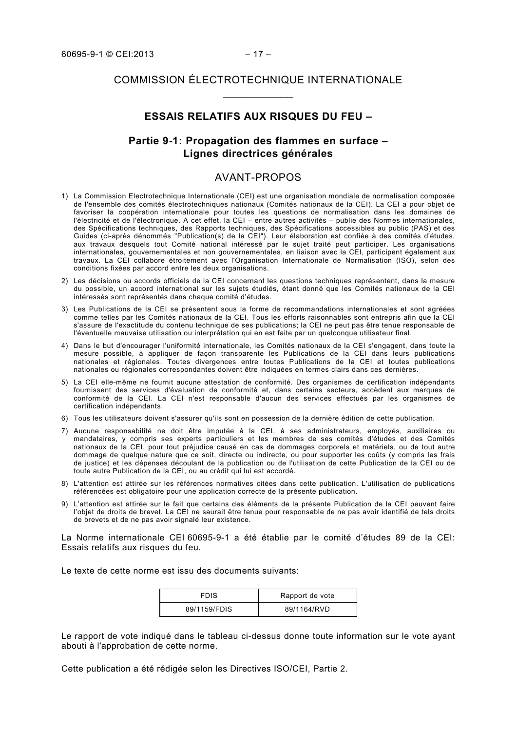# COMMISSION ÉLECTROTECHNIQUE INTERNATIONALE  $\overline{\phantom{a}}$

## **ESSAIS RELATIFS AUX RISQUES DU FEU –**

## **Partie 9-1: Propagation des flammes en surface – Lignes directrices générales**

## AVANT-PROPOS

- 1) La Commission Electrotechnique Internationale (CEI) est une organisation mondiale de normalisation composée de l'ensemble des comités électrotechniques nationaux (Comités nationaux de la CEI). La CEI a pour objet de favoriser la coopération internationale pour toutes les questions de normalisation dans les domaines de l'électricité et de l'électronique. A cet effet, la CEI – entre autres activités – publie des Normes internationales, des Spécifications techniques, des Rapports techniques, des Spécifications accessibles au public (PAS) et des Guides (ci-après dénommés "Publication(s) de la CEI"). Leur élaboration est confiée à des comités d'études, aux travaux desquels tout Comité national intéressé par le sujet traité peut participer. Les organisations internationales, gouvernementales et non gouvernementales, en liaison avec la CEI, participent également aux travaux. La CEI collabore étroitement avec l'Organisation Internationale de Normalisation (ISO), selon des conditions fixées par accord entre les deux organisations.
- 2) Les décisions ou accords officiels de la CEI concernant les questions techniques représentent, dans la mesure du possible, un accord international sur les sujets étudiés, étant donné que les Comités nationaux de la CEI intéressés sont représentés dans chaque comité d'études.
- 3) Les Publications de la CEI se présentent sous la forme de recommandations internationales et sont agréées comme telles par les Comités nationaux de la CEI. Tous les efforts raisonnables sont entrepris afin que la CEI s'assure de l'exactitude du contenu technique de ses publications; la CEI ne peut pas être tenue responsable de l'éventuelle mauvaise utilisation ou interprétation qui en est faite par un quelconque utilisateur final.
- 4) Dans le but d'encourager l'uniformité internationale, les Comités nationaux de la CEI s'engagent, dans toute la mesure possible, à appliquer de façon transparente les Publications de la CEI dans leurs publications nationales et régionales. Toutes divergences entre toutes Publications de la CEI et toutes publications nationales ou régionales correspondantes doivent être indiquées en termes clairs dans ces dernières.
- 5) La CEI elle-même ne fournit aucune attestation de conformité. Des organismes de certification indépendants fournissent des services d'évaluation de conformité et, dans certains secteurs, accèdent aux marques de conformité de la CEI. La CEI n'est responsable d'aucun des services effectués par les organismes de certification indépendants.
- 6) Tous les utilisateurs doivent s'assurer qu'ils sont en possession de la dernière édition de cette publication.
- 7) Aucune responsabilité ne doit être imputée à la CEI, à ses administrateurs, employés, auxiliaires ou mandataires, y compris ses experts particuliers et les membres de ses comités d'études et des Comités nationaux de la CEI, pour tout préjudice causé en cas de dommages corporels et matériels, ou de tout autre dommage de quelque nature que ce soit, directe ou indirecte, ou pour supporter les coûts (y compris les frais de justice) et les dépenses découlant de la publication ou de l'utilisation de cette Publication de la CEI ou de toute autre Publication de la CEI, ou au crédit qui lui est accordé.
- 8) L'attention est attirée sur les références normatives citées dans cette publication. L'utilisation de publications référencées est obligatoire pour une application correcte de la présente publication.
- 9) L'attention est attirée sur le fait que certains des éléments de la présente Publication de la CEI peuvent faire l'objet de droits de brevet. La CEI ne saurait être tenue pour responsable de ne pas avoir identifié de tels droits de brevets et de ne pas avoir signalé leur existence.

La Norme internationale CEI 60695-9-1 a été établie par le comité d'études 89 de la CEI: Essais relatifs aux risques du feu.

Le texte de cette norme est issu des documents suivants:

| FDIS         | Rapport de vote |
|--------------|-----------------|
| 89/1159/FDIS | 89/1164/RVD     |

Le rapport de vote indiqué dans le tableau ci-dessus donne toute information sur le vote ayant abouti à l'approbation de cette norme.

Cette publication a été rédigée selon les Directives ISO/CEI, Partie 2.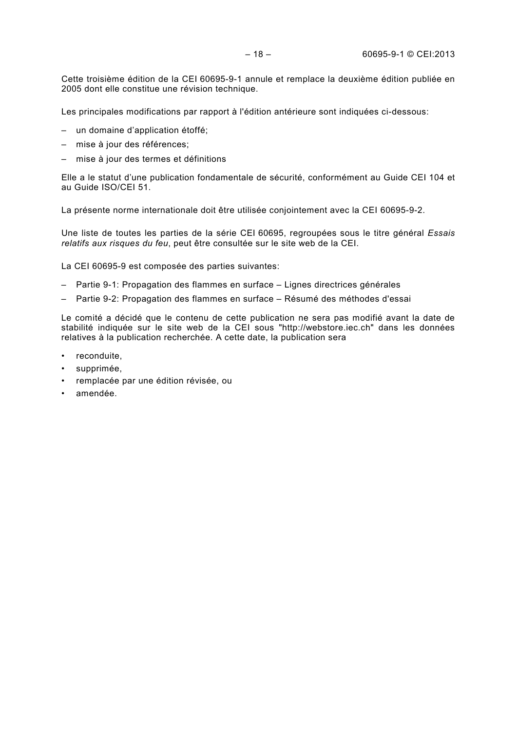Cette troisième édition de la CEI 60695-9-1 annule et remplace la deuxième édition publiée en 2005 dont elle constitue une révision technique.

Les principales modifications par rapport à l'édition antérieure sont indiquées ci-dessous:

- un domaine d'application étoffé;
- mise à jour des références;
- mise à jour des termes et définitions

Elle a le statut d'une publication fondamentale de sécurité, conformément au Guide CEI 104 et au Guide ISO/CEI 51.

La présente norme internationale doit être utilisée conjointement avec la CEI 60695-9-2.

Une liste de toutes les parties de la série CEI 60695, regroupées sous le titre général *Essais relatifs aux risques du feu*, peut être consultée sur le site web de la CEI.

La CEI 60695-9 est composée des parties suivantes:

- Partie 9-1: Propagation des flammes en surface Lignes directrices générales
- Partie 9-2: Propagation des flammes en surface Résumé des méthodes d'essai

Le comité a décidé que le contenu de cette publication ne sera pas modifié avant la date de stabilité indiquée sur le site web de la CEI sous "http://webstore.iec.ch" dans les données relatives à la publication recherchée. A cette date, la publication sera

- reconduite,
- supprimée,
- remplacée par une édition révisée, ou
- amendée.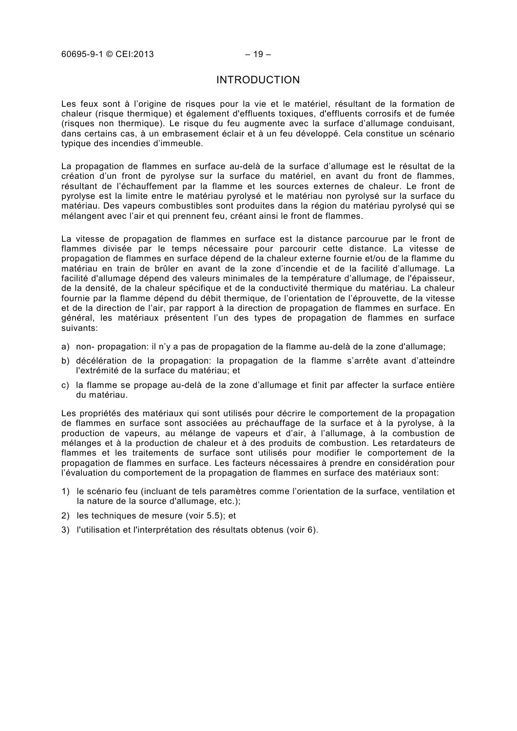## INTRODUCTION

Les feux sont à l'origine de risques pour la vie et le matériel, résultant de la formation de chaleur (risque thermique) et également d'effluents toxiques, d'effluents corrosifs et de fumée (risques non thermique). Le risque du feu augmente avec la surface d'allumage conduisant, dans certains cas, à un embrasement éclair et à un feu développé. Cela constitue un scénario typique des incendies d'immeuble.

La propagation de flammes en surface au-delà de la surface d'allumage est le résultat de la création d'un front de pyrolyse sur la surface du matériel, en avant du front de flammes, résultant de l'échauffement par la flamme et les sources externes de chaleur. Le front de pyrolyse est la limite entre le matériau pyrolysé et le matériau non pyrolysé sur la surface du matériau. Des vapeurs combustibles sont produites dans la région du matériau pyrolysé qui se mélangent avec l'air et qui prennent feu, créant ainsi le front de flammes.

La vitesse de propagation de flammes en surface est la distance parcourue par le front de flammes divisée par le temps nécessaire pour parcourir cette distance. La vitesse de propagation de flammes en surface dépend de la chaleur externe fournie et/ou de la flamme du matériau en train de brûler en avant de la zone d'incendie et de la facilité d'allumage. La facilité d'allumage dépend des valeurs minimales de la température d'allumage, de l'épaisseur, de la densité, de la chaleur spécifique et de la conductivité thermique du matériau. La chaleur fournie par la flamme dépend du débit thermique, de l'orientation de l'éprouvette, de la vitesse et de la direction de l'air, par rapport à la direction de propagation de flammes en surface. En général, les matériaux présentent l'un des types de propagation de flammes en surface suivants:

- a) non- propagation: il n'y a pas de propagation de la flamme au-delà de la zone d'allumage;
- b) décélération de la propagation: la propagation de la flamme s'arrête avant d'atteindre l'extrémité de la surface du matériau; et
- c) la flamme se propage au-delà de la zone d'allumage et finit par affecter la surface entière du matériau.

Les propriétés des matériaux qui sont utilisés pour décrire le comportement de la propagation de flammes en surface sont associées au préchauffage de la surface et à la pyrolyse, à la production de vapeurs, au mélange de vapeurs et d'air, à l'allumage, à la combustion de mélanges et à la production de chaleur et à des produits de combustion. Les retardateurs de flammes et les traitements de surface sont utilisés pour modifier le comportement de la propagation de flammes en surface. Les facteurs nécessaires à prendre en considération pour l'évaluation du comportement de la propagation de flammes en surface des matériaux sont:

- 1) le scénario feu (incluant de tels paramètres comme l'orientation de la surface, ventilation et la nature de la source d'allumage, etc.);
- 2) les techniques de mesure (voir 5.5); et
- 3) l'utilisation et l'interprétation des résultats obtenus (voir 6).